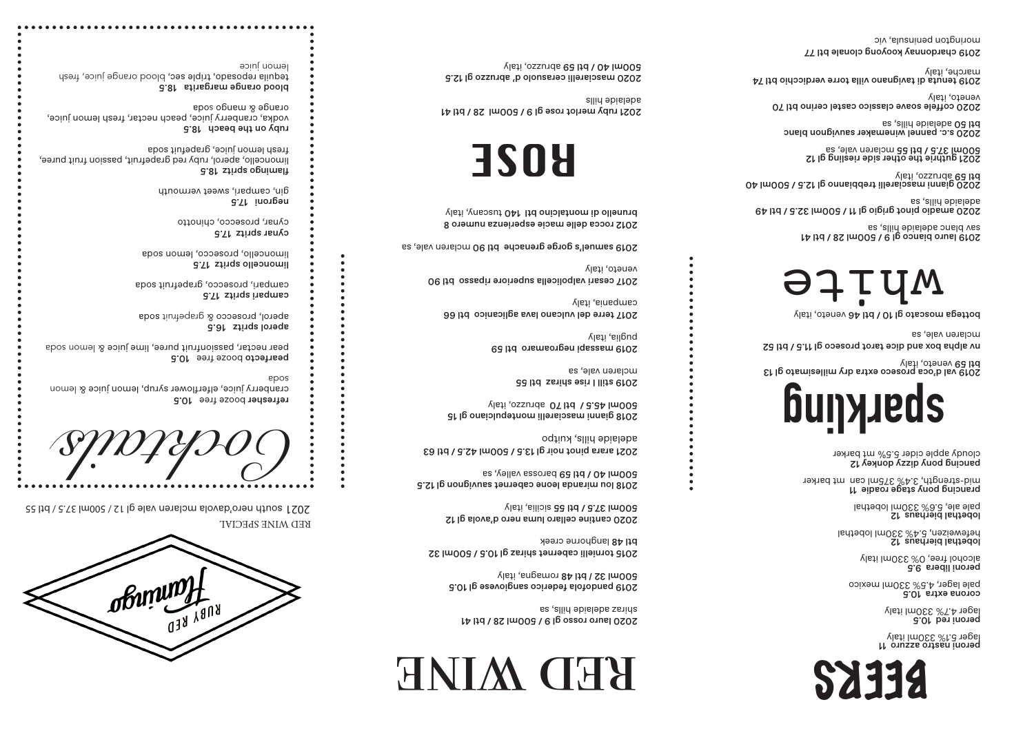peroni nastro azzuro 11 lager 5.1% 330ml italy

**Peroni red 10.5** 330ml italy % lager 4.7

corona extra 10.5 pale lager, 4.5% 330ml mexico

peroni libera 9.5 alcohol free, 0% 330ml italy

lobethal bierhaus 12 pale ale, 5.6% 330ml lobethal

mid-strength, 3.4% 375ml can  $\,$ mt barker  $\,$ prancing pony stage roadie  $\,$  11  $\,$ 

pancing pony dizzy donkey 12 cloudy apple cider 5.5% mt barker

lobethal bierhaus 12 330ml lobethal % 5.4 , hefeweizen

2019 val d'oca proseco extra dry millesimato gl 13 veneto, italy btl 59

nv alpha box and dice tarot proseco gl 11.5 / btl 52 mclaren vale, sa

bottega moscato gl 10 / btl 46 veneto, italy

2019 lauro bianco gl 9 / 500ml 28 / btl 41 sav blanc adelaide hills, sa

2015 tornielli cabernet shiraz gl 10.5 / 500ml 32 btl 48 langhorne creek

2020 cantine cellaro luma nero d'avola gl 12  $\sqrt{1}$ sicilia, italy  $\sqrt{3}$  italy italy set by  $\sqrt{3}$  2020 amadio pinot grigio gl 11 / 500ml 32.5 / btl 49 adelaide hills, sa

2018 lou miranda leone cabernet sauvignon gl 12.5  $b$ arossa valley, sa 500ml 40 /  $b$ tl 59 barossa valley, sa 5 2020 gianni masciarelli trebbianno gl 12.5 / 500ml 40 abruzzo, italy btl 59

2021 guthrie the other side riesling gl 12<br>2021 guthrie the other side riesling gl 12

btl 50 adelaide hills, sa<br>2020 s.c. pannel winemaker sauvignon blanc

2018 gianni masciarelli montepulciano gl 15 gooml 45.5 \ btl 70 abruzzo, italy

2012 rocca delle macie esperienza numero 8 brunello di montalcino btl 140 tuscany, italy

2020 coffele soave classico castel cerino btl 70 veneto, italy

2019 tenuta di tavignano villa torre verdicchio btl 74 marche, italy

refresher booze free 10.5 cranberry juice, elferflower syrup, lemon juice & lemon soda

pearfecto booze free 10.5 pear nectar, passionfruit puree, lime juice & lemon soda

aperol spritz 16.5 aperol, prosecco & grapefruit soda 2019 chardonnay kooyong clonale btl 77 morington peninsula, vic

## RED WINE

2020 lauro rosso gl 9 / 500ml 28 / btl 41 shiraz adelaide hills, sa

2019 pandofola federico sangiovese gl 10.5 romagna, italy btl 48 **/** 500ml 32

2020 masciarelli cerasuolo d' abruzzo gl 12.5 fleti abruzzunds 65 ltd \ 04 lm00a



2021 arara pinot noir gl 13.5 / 500ml 42.5 / btl 63 adelaide hills, kuitpo

2019 still I rise shiraz btl 55 mclaren vale, sa

2019 massapi negroamaro btl 59 puglia, italy

2017 terre del vulcano lava aglicanico btl 66 campania, italy

2017 cesari valpolicella superiore ripasso btl 90 veneto, italy

2019 samuel's gorge grenache btl 90 mclaren vale, sa

campari spritz 17.5 campari, prosecco, grapefruit soda

limoncello spritz 17.5 limoncello, prosecco, lemon soda

cynar spritz 17.5 cynar, prosecco, chinotto

17.5 negroni gin, campari, sweet vermouth

flamingo spritz 18.5 limoncello, aperol, ruby red grapefruit, passion fruit puree, fresh lemon juice, grapefuit soda

ruby on the beach 18.5 vodka, cranberry juice, peach nectar, fresh lemon juice, s boos opnem & opnero

blood orange margarita 18.5 tequila reposado, triple sec, blood orange juice, fresh lemon juice





# **sparkling**



2021 ruby merlot rose gl 9 / 500ml 28 / btl 41 adelaide hills

ROSE

RED WINE SPECIAL

 $SO(2)$  2000ml 37.5 / btl 55 south of  $G$  is a south  $37.5$  /  $94$